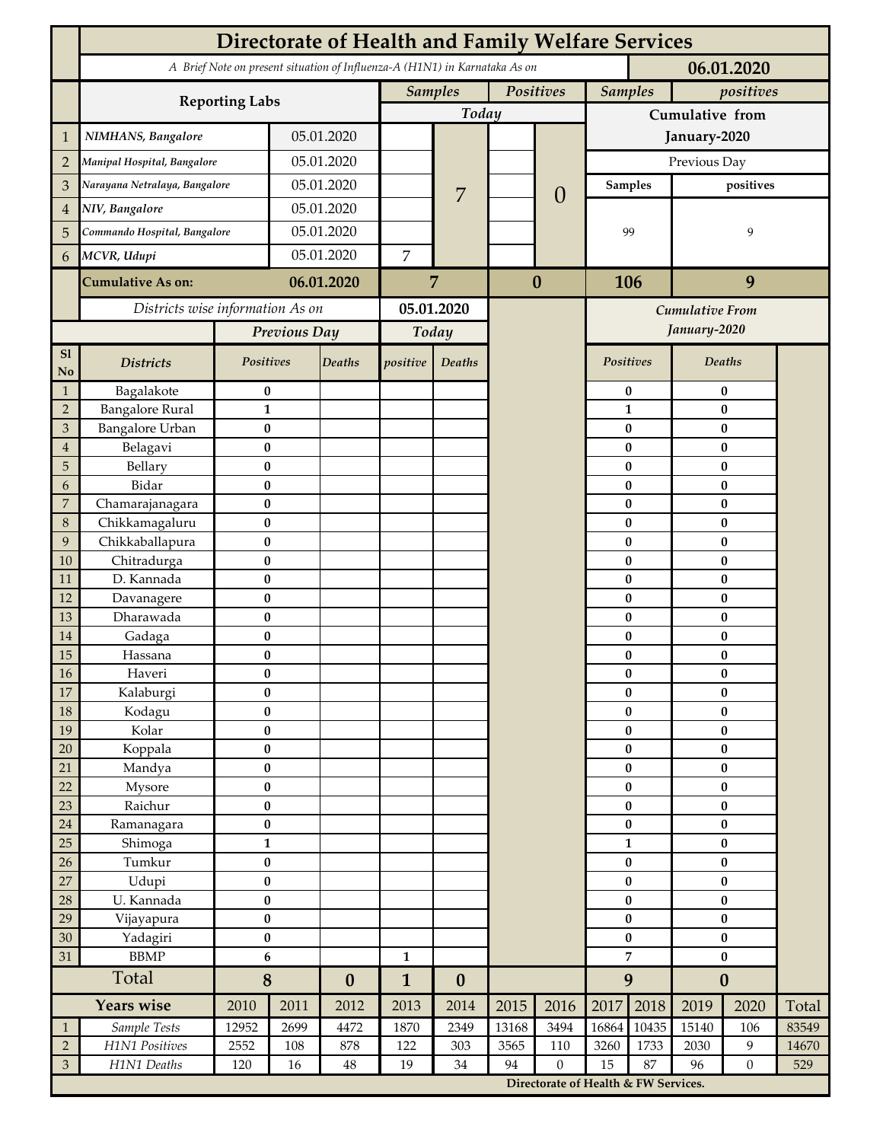|                             | Directorate of Health and Family Welfare Services                                        |                       |            |                  |                             |                  |       |                                      |                             |                       |                        |                       |       |  |
|-----------------------------|------------------------------------------------------------------------------------------|-----------------------|------------|------------------|-----------------------------|------------------|-------|--------------------------------------|-----------------------------|-----------------------|------------------------|-----------------------|-------|--|
|                             | A Brief Note on present situation of Influenza-A (H1N1) in Karnataka As on<br>06.01.2020 |                       |            |                  |                             |                  |       |                                      |                             |                       |                        |                       |       |  |
|                             |                                                                                          |                       |            |                  | <b>Samples</b><br>Positives |                  |       |                                      | <b>Samples</b><br>positives |                       |                        |                       |       |  |
|                             | <b>Reporting Labs</b>                                                                    |                       |            |                  | Today                       |                  |       |                                      | Cumulative from             |                       |                        |                       |       |  |
| $\mathbf 1$                 | NIMHANS, Bangalore                                                                       | 05.01.2020            |            |                  |                             |                  |       | January-2020                         |                             |                       |                        |                       |       |  |
| $\overline{2}$              | Manipal Hospital, Bangalore                                                              |                       |            | 05.01.2020       |                             |                  |       | $\theta$                             | Previous Day                |                       |                        |                       |       |  |
| 3                           | Narayana Netralaya, Bangalore                                                            |                       |            | 05.01.2020       |                             |                  |       |                                      |                             | <b>Samples</b>        | positives              |                       |       |  |
| $\overline{4}$              | NIV, Bangalore                                                                           |                       | 05.01.2020 |                  |                             | $\overline{7}$   |       |                                      |                             |                       |                        |                       |       |  |
| 5                           | Commando Hospital, Bangalore                                                             |                       | 05.01.2020 |                  |                             |                  |       |                                      | 99                          |                       | 9                      |                       |       |  |
| 6                           | MCVR, Udupi                                                                              |                       | 05.01.2020 |                  | 7                           |                  |       |                                      |                             |                       |                        |                       |       |  |
|                             | <b>Cumulative As on:</b>                                                                 | 06.01.2020            |            |                  |                             | $\bf{0}$         |       | 106                                  |                             |                       | 9                      |                       |       |  |
|                             |                                                                                          |                       |            | 7                |                             |                  |       |                                      |                             |                       |                        |                       |       |  |
|                             | Districts wise information As on                                                         |                       |            | 05.01.2020       |                             |                  |       | Cumulative From                      |                             |                       |                        |                       |       |  |
|                             |                                                                                          | Previous Day          |            | Today            |                             |                  |       |                                      |                             | January-2020          |                        |                       |       |  |
| S1<br><b>No</b>             | <b>Districts</b>                                                                         | Positives             |            | Deaths           | positive                    | Deaths           |       |                                      | Positives                   |                       |                        | Deaths                |       |  |
| $\mathbf{1}$                | Bagalakote                                                                               | $\bf{0}$              |            |                  |                             |                  |       |                                      |                             | 0                     | $\bf{0}$               |                       |       |  |
| $\overline{2}$              | <b>Bangalore Rural</b>                                                                   | $\mathbf{1}$          |            |                  |                             |                  |       |                                      |                             | $\mathbf{1}$          | $\bf{0}$               |                       |       |  |
| $\mathfrak{Z}$              | Bangalore Urban                                                                          | $\bf{0}$              |            |                  |                             |                  |       |                                      |                             | $\bf{0}$              |                        | $\bf{0}$              |       |  |
| $\overline{4}$<br>5         | Belagavi<br>Bellary                                                                      | $\bf{0}$<br>$\bf{0}$  |            |                  |                             |                  |       |                                      |                             | $\bf{0}$<br>$\bf{0}$  |                        | $\pmb{0}$<br>$\bf{0}$ |       |  |
| 6                           | Bidar                                                                                    | $\bf{0}$              |            |                  |                             |                  |       |                                      |                             | $\bf{0}$              |                        | $\bf{0}$              |       |  |
| $\sqrt{2}$                  | Chamarajanagara                                                                          | $\bf{0}$              |            |                  |                             |                  |       |                                      |                             | $\pmb{0}$             |                        | $\bf{0}$              |       |  |
| $\,8\,$                     | Chikkamagaluru                                                                           | $\bf{0}$              |            |                  |                             |                  |       |                                      |                             | 0                     |                        | $\bf{0}$              |       |  |
| 9                           | Chikkaballapura                                                                          | $\bf{0}$              |            |                  |                             |                  |       |                                      |                             | $\bf{0}$              |                        | $\bf{0}$              |       |  |
| 10                          | Chitradurga                                                                              | $\bf{0}$              |            |                  |                             |                  |       |                                      |                             | 0                     |                        | $\bf{0}$              |       |  |
| 11                          | D. Kannada                                                                               | $\bf{0}$              |            |                  |                             |                  |       |                                      |                             | 0                     |                        | $\bf{0}$              |       |  |
| 12                          | Davanagere                                                                               | $\bf{0}$              |            |                  |                             |                  |       |                                      |                             | $\pmb{0}$             |                        | $\pmb{0}$             |       |  |
| 13                          | Dharawada                                                                                | $\pmb{0}$             |            |                  |                             |                  |       |                                      |                             | 0                     |                        | $\pmb{0}$             |       |  |
| $14\,$                      | Gadaga                                                                                   | $\bf{0}$              |            |                  |                             |                  |       |                                      |                             | $\bf{0}$              |                        | $\pmb{0}$             |       |  |
| 15                          | Hassana                                                                                  | $\bf{0}$              |            |                  |                             |                  |       |                                      |                             | 0                     |                        | $\bf{0}$              |       |  |
| $16\,$<br>$17\,$            | Haveri                                                                                   | $\pmb{0}$<br>$\bf{0}$ |            |                  |                             |                  |       |                                      |                             | $\pmb{0}$<br>$\bf{0}$ | $\pmb{0}$<br>$\bf{0}$  |                       |       |  |
| $18\,$                      | Kalaburgi<br>Kodagu                                                                      | $\pmb{0}$             |            |                  |                             |                  |       |                                      | $\pmb{0}$                   | $\pmb{0}$             |                        |                       |       |  |
| 19                          | Kolar                                                                                    | $\pmb{0}$             |            |                  |                             |                  |       |                                      | $\pmb{0}$                   |                       | $\pmb{0}$              |                       |       |  |
| $20\,$                      | Koppala                                                                                  | $\pmb{0}$             |            |                  |                             |                  |       |                                      |                             | $\pmb{0}$             | $\pmb{0}$              |                       |       |  |
| 21                          | Mandya                                                                                   | $\pmb{0}$             |            |                  |                             |                  |       |                                      |                             | $\bf{0}$              | $\pmb{0}$              |                       |       |  |
| 22                          | Mysore                                                                                   | $\pmb{0}$             |            |                  |                             |                  |       |                                      |                             | $\pmb{0}$             | $\pmb{0}$              |                       |       |  |
| 23                          | Raichur                                                                                  | $\pmb{0}$             |            |                  |                             |                  |       |                                      | $\pmb{0}$                   |                       | $\pmb{0}$              |                       |       |  |
| $24\,$                      | Ramanagara                                                                               | $\pmb{0}$             |            |                  |                             |                  |       |                                      | $\pmb{0}$                   |                       | $\pmb{0}$              |                       |       |  |
| 25                          | Shimoga                                                                                  | $\mathbf{1}$          |            |                  |                             |                  |       |                                      | $\mathbf{1}$                |                       | $\bf{0}$               |                       |       |  |
| 26                          | Tumkur                                                                                   | $\pmb{0}$             |            |                  |                             |                  |       |                                      | $\bf{0}$                    |                       | $\bf{0}$               |                       |       |  |
| $27\,$                      | Udupi                                                                                    | $\pmb{0}$             |            |                  |                             |                  |       |                                      |                             | $\bf{0}$              | $\pmb{0}$              |                       |       |  |
| 28                          | U. Kannada                                                                               | $\pmb{0}$             |            |                  |                             |                  |       |                                      |                             | $\pmb{0}$             | $\bf{0}$               |                       |       |  |
| 29<br>30                    | Vijayapura                                                                               | $\pmb{0}$             |            |                  |                             |                  |       |                                      |                             | $\pmb{0}$             |                        | $\pmb{0}$             |       |  |
| 31                          | Yadagiri<br><b>BBMP</b>                                                                  | $\pmb{0}$<br>6        |            |                  | $\mathbf{1}$                |                  |       |                                      | $\pmb{0}$<br>7              |                       | $\pmb{0}$<br>$\pmb{0}$ |                       |       |  |
|                             | Total                                                                                    | 8                     |            | $\boldsymbol{0}$ | $\mathbf{1}$                | $\boldsymbol{0}$ |       |                                      | 9                           |                       | $\boldsymbol{0}$       |                       |       |  |
|                             | <b>Years wise</b>                                                                        | 2010                  | 2011       | 2012             | 2013                        | 2014             | 2015  | 2016                                 | 2017                        | 2018                  | 2019                   | 2020                  | Total |  |
| $\mathbf{1}$                | Sample Tests                                                                             | 12952                 | 2699       | 4472             | 1870                        | 2349             | 13168 | 3494                                 | 16864                       | 10435                 | 15140                  | 106                   | 83549 |  |
| $\sqrt{2}$                  | H1N1 Positives                                                                           | 2552                  | 108        | 878              | 122                         | 303              | 3565  | 110                                  | 3260                        | 1733                  | 2030                   | 9                     | 14670 |  |
| $\ensuremath{\mathfrak{Z}}$ | H1N1 Deaths                                                                              | 120                   | $16\,$     | $\rm 48$         | 19                          | 34               | 94    | $\boldsymbol{0}$                     | 15                          | 87                    | 96                     | $\boldsymbol{0}$      | 529   |  |
|                             |                                                                                          |                       |            |                  |                             |                  |       | Directorate of Health & FW Services. |                             |                       |                        |                       |       |  |